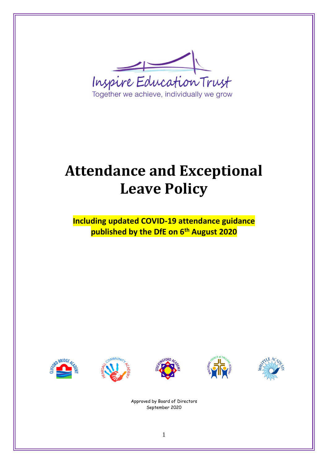

# **Attendance and Exceptional Leave Policy**

**Including updated COVID-19 attendance guidance published by the DfE on 6th August 2020**











Approved by Board of Directors September 2020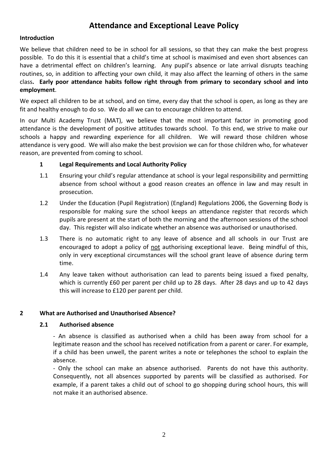### **Attendance and Exceptional Leave Policy**

#### **Introduction**

We believe that children need to be in school for all sessions, so that they can make the best progress possible. To do this it is essential that a child's time at school is maximised and even short absences can have a detrimental effect on children's learning. Any pupil's absence or late arrival disrupts teaching routines, so, in addition to affecting your own child, it may also affect the learning of others in the same class**. Early poor attendance habits follow right through from primary to secondary school and into employment**.

We expect all children to be at school, and on time, every day that the school is open, as long as they are fit and healthy enough to do so. We do all we can to encourage children to attend.

In our Multi Academy Trust (MAT), we believe that the most important factor in promoting good attendance is the development of positive attitudes towards school. To this end, we strive to make our schools a happy and rewarding experience for all children. We will reward those children whose attendance is very good. We will also make the best provision we can for those children who, for whatever reason, are prevented from coming to school.

#### **1 Legal Requirements and Local Authority Policy**

- 1.1 Ensuring your child's regular attendance at school is your legal responsibility and permitting absence from school without a good reason creates an offence in law and may result in prosecution.
- 1.2 Under the Education (Pupil Registration) (England) Regulations 2006, the Governing Body is responsible for making sure the school keeps an attendance register that records which pupils are present at the start of both the morning and the afternoon sessions of the school day. This register will also indicate whether an absence was authorised or unauthorised.
- 1.3 There is no automatic right to any leave of absence and all schools in our Trust are encouraged to adopt a policy of not authorising exceptional leave. Being mindful of this, only in very exceptional circumstances will the school grant leave of absence during term time.
- 1.4 Any leave taken without authorisation can lead to parents being issued a fixed penalty, which is currently £60 per parent per child up to 28 days. After 28 days and up to 42 days this will increase to £120 per parent per child.

#### **2 What are Authorised and Unauthorised Absence?**

#### **2.1 Authorised absence**

- An absence is classified as authorised when a child has been away from school for a legitimate reason and the school has received notification from a parent or carer. For example, if a child has been unwell, the parent writes a note or telephones the school to explain the absence.

- Only the school can make an absence authorised. Parents do not have this authority. Consequently, not all absences supported by parents will be classified as authorised. For example, if a parent takes a child out of school to go shopping during school hours, this will not make it an authorised absence.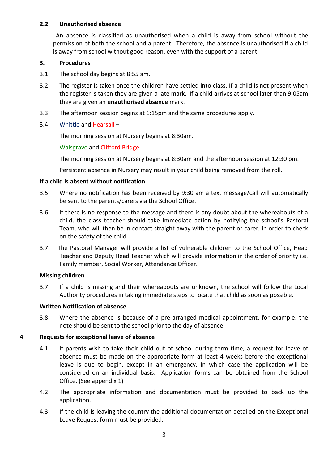#### **2.2 Unauthorised absence**

 - An absence is classified as unauthorised when a child is away from school without the permission of both the school and a parent. Therefore, the absence is unauthorised if a child is away from school without good reason, even with the support of a parent.

#### **3. Procedures**

- 3.1 The school day begins at 8:55 am.
- 3.2 The register is taken once the children have settled into class. If a child is not present when the register is taken they are given a late mark. If a child arrives at school later than 9:05am they are given an **unauthorised absence** mark.
- 3.3 The afternoon session begins at 1:15pm and the same procedures apply.

#### 3.4 Whittle and Hearsall –

The morning session at Nursery begins at 8:30am.

#### Walsgrave and Clifford Bridge -

The morning session at Nursery begins at 8:30am and the afternoon session at 12:30 pm.

Persistent absence in Nursery may result in your child being removed from the roll.

#### **If a child is absent without notification**

- 3.5 Where no notification has been received by 9:30 am a text message/call will automatically be sent to the parents/carers via the School Office.
- 3.6 If there is no response to the message and there is any doubt about the whereabouts of a child, the class teacher should take immediate action by notifying the school's Pastoral Team, who will then be in contact straight away with the parent or carer, in order to check on the safety of the child.
- 3.7 The Pastoral Manager will provide a list of vulnerable children to the School Office, Head Teacher and Deputy Head Teacher which will provide information in the order of priority i.e. Family member, Social Worker, Attendance Officer.

#### **Missing children**

3.7 If a child is missing and their whereabouts are unknown, the school will follow the Local Authority procedures in taking immediate steps to locate that child as soon as possible.

#### **Written Notification of absence**

3.8 Where the absence is because of a pre-arranged medical appointment, for example, the note should be sent to the school prior to the day of absence.

#### **4 Requests for exceptional leave of absence**

- 4.1 If parents wish to take their child out of school during term time, a request for leave of absence must be made on the appropriate form at least 4 weeks before the exceptional leave is due to begin, except in an emergency, in which case the application will be considered on an individual basis. Application forms can be obtained from the School Office. (See appendix 1)
- 4.2 The appropriate information and documentation must be provided to back up the application.
- 4.3 If the child is leaving the country the additional documentation detailed on the Exceptional Leave Request form must be provided.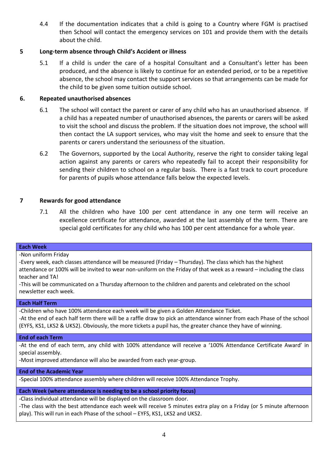4.4 If the documentation indicates that a child is going to a Country where FGM is practised then School will contact the emergency services on 101 and provide them with the details about the child.

#### **5 Long-term absence through Child's Accident or illness**

5.1 If a child is under the care of a hospital Consultant and a Consultant's letter has been produced, and the absence is likely to continue for an extended period, or to be a repetitive absence, the school may contact the support services so that arrangements can be made for the child to be given some tuition outside school.

#### **6. Repeated unauthorised absences**

- 6.1 The school will contact the parent or carer of any child who has an unauthorised absence. If a child has a repeated number of unauthorised absences, the parents or carers will be asked to visit the school and discuss the problem. If the situation does not improve, the school will then contact the LA support services, who may visit the home and seek to ensure that the parents or carers understand the seriousness of the situation.
- 6.2 The Governors, supported by the Local Authority, reserve the right to consider taking legal action against any parents or carers who repeatedly fail to accept their responsibility for sending their children to school on a regular basis. There is a fast track to court procedure for parents of pupils whose attendance falls below the expected levels.

#### **7 Rewards for good attendance**

7.1 All the children who have 100 per cent attendance in any one term will receive an excellence certificate for attendance, awarded at the last assembly of the term. There are special gold certificates for any child who has 100 per cent attendance for a whole year.

#### **Each Week**

-Non uniform Friday

-Every week, each classes attendance will be measured (Friday – Thursday). The class which has the highest attendance or 100% will be invited to wear non-uniform on the Friday of that week as a reward – including the class teacher and TA!

-This will be communicated on a Thursday afternoon to the children and parents and celebrated on the school newsletter each week.

#### **Each Half Term**

-Children who have 100% attendance each week will be given a Golden Attendance Ticket.

-At the end of each half term there will be a raffle draw to pick an attendance winner from each Phase of the school (EYFS, KS1, LKS2 & UKS2). Obviously, the more tickets a pupil has, the greater chance they have of winning.

#### **End of each Term**

-At the end of each term, any child with 100% attendance will receive a '100% Attendance Certificate Award' in special assembly.

-Most improved attendance will also be awarded from each year-group.

**End of the Academic Year**

-Special 100% attendance assembly where children will receive 100% Attendance Trophy.

**Each Week (where attendance is needing to be a school priority focus)**

-Class individual attendance will be displayed on the classroom door.

-The class with the best attendance each week will receive 5 minutes extra play on a Friday (or 5 minute afternoon play). This will run in each Phase of the school – EYFS, KS1, LKS2 and UKS2.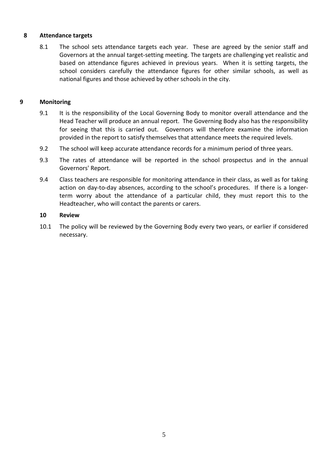#### **8 Attendance targets**

8.1 The school sets attendance targets each year. These are agreed by the senior staff and Governors at the annual target-setting meeting. The targets are challenging yet realistic and based on attendance figures achieved in previous years. When it is setting targets, the school considers carefully the attendance figures for other similar schools, as well as national figures and those achieved by other schools in the city.

#### **9 Monitoring**

- 9.1 It is the responsibility of the Local Governing Body to monitor overall attendance and the Head Teacher will produce an annual report. The Governing Body also has the responsibility for seeing that this is carried out. Governors will therefore examine the information provided in the report to satisfy themselves that attendance meets the required levels.
- 9.2 The school will keep accurate attendance records for a minimum period of three years.
- 9.3 The rates of attendance will be reported in the school prospectus and in the annual Governors' Report.
- 9.4 Class teachers are responsible for monitoring attendance in their class, as well as for taking action on day-to-day absences, according to the school's procedures. If there is a longerterm worry about the attendance of a particular child, they must report this to the Headteacher, who will contact the parents or carers.

#### **10 Review**

10.1 The policy will be reviewed by the Governing Body every two years, or earlier if considered necessary.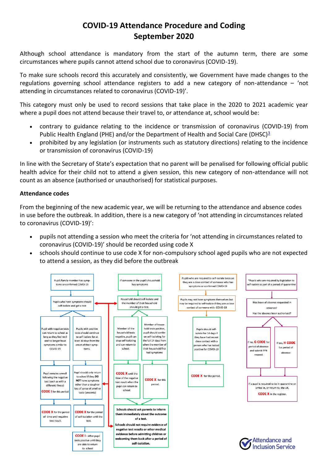## **COVID-19 Attendance Procedure and Coding September 2020**

Although school attendance is mandatory from the start of the autumn term, there are some circumstances where pupils cannot attend school due to coronavirus (COVID-19).

To make sure schools record this accurately and consistently, we Government have made changes to the regulations governing school attendance registers to add a new category of non-attendance – 'not attending in circumstances related to coronavirus (COVID-19)'.

This category must only be used to record sessions that take place in the 2020 to 2021 academic year where a pupil does not attend because their travel to, or attendance at, school would be:

- contrary to guidance relating to the incidence or transmission of coronavirus (COVID-19) from Public Health England (PHE) and/or the Department of Health and Social Care (DHSC)<sup>[3](https://www.gov.uk/government/publications/school-attendance/addendum-recording-attendance-in-relation-to-coronavirus-covid-19-during-the-2020-to-2021-academic-year#fn:3)</sup>
- prohibited by any legislation (or instruments such as statutory directions) relating to the incidence or transmission of coronavirus (COVID-19)

In line with the Secretary of State's expectation that no parent will be penalised for following official public health advice for their child not to attend a given session, this new category of non-attendance will not count as an absence (authorised or unauthorised) for statistical purposes.

#### **Attendance codes**

From the beginning of the new academic year, we will be returning to the attendance and absence codes in use before the outbreak. In addition, there is a new category of 'not attending in circumstances related to coronavirus (COVID-19)':

- pupils not attending a session who meet the criteria for 'not attending in circumstances related to coronavirus (COVID-19)' should be recorded using code X
- schools should continue to use code X for non-compulsory school aged pupils who are not expected to attend a session, as they did before the outbreak

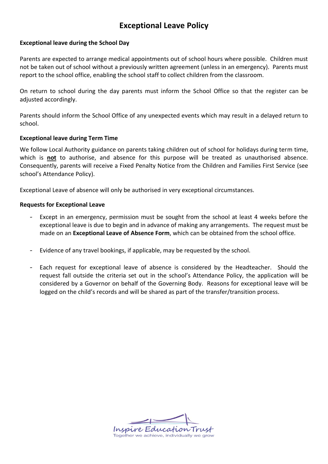## **Exceptional Leave Policy**

#### **Exceptional leave during the School Day**

Parents are expected to arrange medical appointments out of school hours where possible. Children must not be taken out of school without a previously written agreement (unless in an emergency). Parents must report to the school office, enabling the school staff to collect children from the classroom.

On return to school during the day parents must inform the School Office so that the register can be adjusted accordingly.

Parents should inform the School Office of any unexpected events which may result in a delayed return to school.

#### **Exceptional leave during Term Time**

We follow Local Authority guidance on parents taking children out of school for holidays during term time, which is **not** to authorise, and absence for this purpose will be treated as unauthorised absence. Consequently, parents will receive a Fixed Penalty Notice from the Children and Families First Service (see school's Attendance Policy).

Exceptional Leave of absence will only be authorised in very exceptional circumstances.

#### **Requests for Exceptional Leave**

- Except in an emergency, permission must be sought from the school at least 4 weeks before the exceptional leave is due to begin and in advance of making any arrangements. The request must be made on an **Exceptional Leave of Absence Form**, which can be obtained from the school office.
- Evidence of any travel bookings, if applicable, may be requested by the school.
- Each request for exceptional leave of absence is considered by the Headteacher. Should the request fall outside the criteria set out in the school's Attendance Policy, the application will be considered by a Governor on behalf of the Governing Body. Reasons for exceptional leave will be logged on the child's records and will be shared as part of the transfer/transition process.

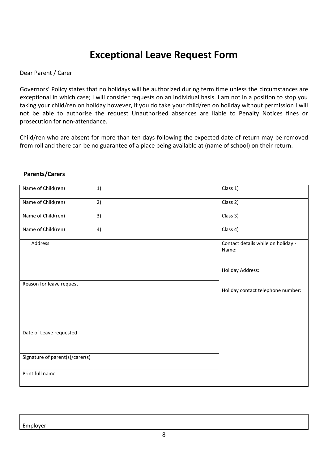## **Exceptional Leave Request Form**

#### Dear Parent / Carer

Governors' Policy states that no holidays will be authorized during term time unless the circumstances are exceptional in which case; I will consider requests on an individual basis. I am not in a position to stop you taking your child/ren on holiday however, if you do take your child/ren on holiday without permission I will not be able to authorise the request Unauthorised absences are liable to Penalty Notices fines or prosecution for non-attendance.

Child/ren who are absent for more than ten days following the expected date of return may be removed from roll and there can be no guarantee of a place being available at (name of school) on their return.

| Name of Child(ren)              | 1) | Class 1)                                    |
|---------------------------------|----|---------------------------------------------|
| Name of Child(ren)              | 2) | Class 2)                                    |
| Name of Child(ren)              | 3) | Class 3)                                    |
| Name of Child(ren)              | 4) | Class 4)                                    |
| Address                         |    | Contact details while on holiday:-<br>Name: |
|                                 |    | <b>Holiday Address:</b>                     |
| Reason for leave request        |    | Holiday contact telephone number:           |
| Date of Leave requested         |    |                                             |
| Signature of parent(s)/carer(s) |    |                                             |
| Print full name                 |    |                                             |

#### **Parents/Carers**